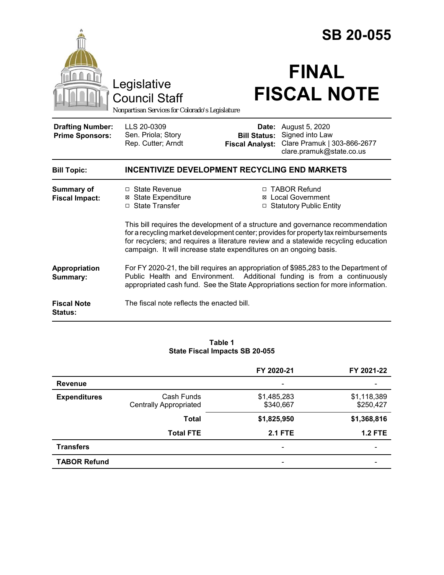|                                                                                        |                                                                                                                                                                                                                                                                                                                                                                                                                        | <b>SB 20-055</b>                              |                                                                                                                                                                                                                                                       |  |  |
|----------------------------------------------------------------------------------------|------------------------------------------------------------------------------------------------------------------------------------------------------------------------------------------------------------------------------------------------------------------------------------------------------------------------------------------------------------------------------------------------------------------------|-----------------------------------------------|-------------------------------------------------------------------------------------------------------------------------------------------------------------------------------------------------------------------------------------------------------|--|--|
| Legislative<br><b>Council Staff</b><br>Nonpartisan Services for Colorado's Legislature |                                                                                                                                                                                                                                                                                                                                                                                                                        | <b>FINAL</b><br><b>FISCAL NOTE</b>            |                                                                                                                                                                                                                                                       |  |  |
| <b>Drafting Number:</b><br><b>Prime Sponsors:</b>                                      | LLS 20-0309<br>Sen. Priola; Story<br>Rep. Cutter; Arndt                                                                                                                                                                                                                                                                                                                                                                | <b>Bill Status:</b><br><b>Fiscal Analyst:</b> | <b>Date:</b> August 5, 2020<br>Signed into Law<br>Clare Pramuk   303-866-2677<br>clare.pramuk@state.co.us                                                                                                                                             |  |  |
| <b>Bill Topic:</b>                                                                     | <b>INCENTIVIZE DEVELOPMENT RECYCLING END MARKETS</b>                                                                                                                                                                                                                                                                                                                                                                   |                                               |                                                                                                                                                                                                                                                       |  |  |
| <b>Summary of</b><br><b>Fiscal Impact:</b>                                             | □ State Revenue<br><b>⊠</b> State Expenditure<br>□ State Transfer                                                                                                                                                                                                                                                                                                                                                      | ⊠<br>□                                        | □ TABOR Refund<br><b>Local Government</b><br><b>Statutory Public Entity</b><br>This bill requires the development of a structure and governance recommendation<br>for a recycling market development center; provides for property tax reimbursements |  |  |
| <b>Appropriation</b><br>Summary:                                                       | for recyclers; and requires a literature review and a statewide recycling education<br>campaign. It will increase state expenditures on an ongoing basis.<br>For FY 2020-21, the bill requires an appropriation of \$985,283 to the Department of<br>Additional funding is from a continuously<br>Public Health and Environment.<br>appropriated cash fund. See the State Appropriations section for more information. |                                               |                                                                                                                                                                                                                                                       |  |  |
| <b>Fiscal Note</b><br>Status:                                                          | The fiscal note reflects the enacted bill.                                                                                                                                                                                                                                                                                                                                                                             |                                               |                                                                                                                                                                                                                                                       |  |  |

#### **Table 1 State Fiscal Impacts SB 20-055**

|                     |                                             | FY 2020-21                   | FY 2021-22               |
|---------------------|---------------------------------------------|------------------------------|--------------------------|
| <b>Revenue</b>      |                                             | $\qquad \qquad \blacksquare$ |                          |
| <b>Expenditures</b> | Cash Funds<br><b>Centrally Appropriated</b> | \$1,485,283<br>\$340,667     | \$1,118,389<br>\$250,427 |
|                     | Total                                       | \$1,825,950                  | \$1,368,816              |
|                     | <b>Total FTE</b>                            | <b>2.1 FTE</b>               | <b>1.2 FTE</b>           |
| <b>Transfers</b>    |                                             | $\overline{\phantom{a}}$     |                          |
| <b>TABOR Refund</b> |                                             |                              |                          |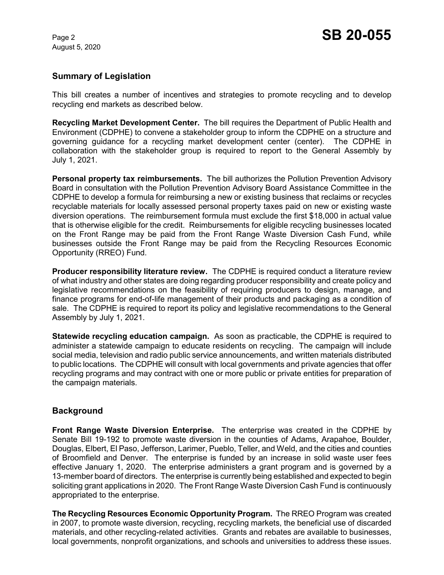August 5, 2020

## **Summary of Legislation**

This bill creates a number of incentives and strategies to promote recycling and to develop recycling end markets as described below.

**Recycling Market Development Center.** The bill requires the Department of Public Health and Environment (CDPHE) to convene a stakeholder group to inform the CDPHE on a structure and governing guidance for a recycling market development center (center). The CDPHE in collaboration with the stakeholder group is required to report to the General Assembly by July 1, 2021.

**Personal property tax reimbursements.** The bill authorizes the Pollution Prevention Advisory Board in consultation with the Pollution Prevention Advisory Board Assistance Committee in the CDPHE to develop a formula for reimbursing a new or existing business that reclaims or recycles recyclable materials for locally assessed personal property taxes paid on new or existing waste diversion operations. The reimbursement formula must exclude the first \$18,000 in actual value that is otherwise eligible for the credit. Reimbursements for eligible recycling businesses located on the Front Range may be paid from the Front Range Waste Diversion Cash Fund, while businesses outside the Front Range may be paid from the Recycling Resources Economic Opportunity (RREO) Fund.

**Producer responsibility literature review.** The CDPHE is required conduct a literature review of what industry and other states are doing regarding producer responsibility and create policy and legislative recommendations on the feasibility of requiring producers to design, manage, and finance programs for end-of-life management of their products and packaging as a condition of sale. The CDPHE is required to report its policy and legislative recommendations to the General Assembly by July 1, 2021.

**Statewide recycling education campaign.** As soon as practicable, the CDPHE is required to administer a statewide campaign to educate residents on recycling. The campaign will include social media, television and radio public service announcements, and written materials distributed to public locations. The CDPHE will consult with local governments and private agencies that offer recycling programs and may contract with one or more public or private entities for preparation of the campaign materials.

### **Background**

**Front Range Waste Diversion Enterprise.** The enterprise was created in the CDPHE by Senate Bill 19-192 to promote waste diversion in the counties of Adams, Arapahoe, Boulder, Douglas, Elbert, El Paso, Jefferson, Larimer, Pueblo, Teller, and Weld, and the cities and counties of Broomfield and Denver. The enterprise is funded by an increase in solid waste user fees effective January 1, 2020. The enterprise administers a grant program and is governed by a 13-member board of directors. The enterprise is currently being established and expected to begin soliciting grant applications in 2020. The Front Range Waste Diversion Cash Fund is continuously appropriated to the enterprise.

**The Recycling Resources Economic Opportunity Program.** The RREO Program was created in 2007, to promote waste diversion, recycling, recycling markets, the beneficial use of discarded materials, and other recycling-related activities. Grants and rebates are available to businesses, local governments, nonprofit organizations, and schools and universities to address these issues.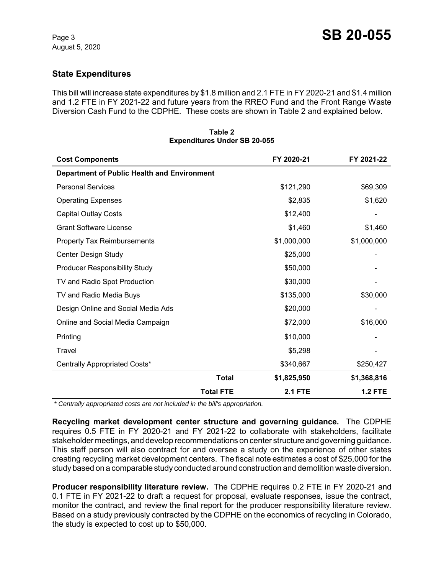# **State Expenditures**

This bill will increase state expenditures by \$1.8 million and 2.1 FTE in FY 2020-21 and \$1.4 million and 1.2 FTE in FY 2021-22 and future years from the RREO Fund and the Front Range Waste Diversion Cash Fund to the CDPHE. These costs are shown in Table 2 and explained below.

| <b>Cost Components</b>                             |                  | FY 2020-21     | FY 2021-22     |
|----------------------------------------------------|------------------|----------------|----------------|
| <b>Department of Public Health and Environment</b> |                  |                |                |
| <b>Personal Services</b>                           |                  | \$121,290      | \$69,309       |
| <b>Operating Expenses</b>                          |                  | \$2,835        | \$1,620        |
| <b>Capital Outlay Costs</b>                        |                  | \$12,400       |                |
| <b>Grant Software License</b>                      |                  | \$1,460        | \$1,460        |
| <b>Property Tax Reimbursements</b>                 |                  | \$1,000,000    | \$1,000,000    |
| Center Design Study                                |                  | \$25,000       |                |
| <b>Producer Responsibility Study</b>               |                  | \$50,000       |                |
| TV and Radio Spot Production                       |                  | \$30,000       |                |
| TV and Radio Media Buys                            |                  | \$135,000      | \$30,000       |
| Design Online and Social Media Ads                 |                  | \$20,000       |                |
| Online and Social Media Campaign                   |                  | \$72,000       | \$16,000       |
| Printing                                           |                  | \$10,000       |                |
| Travel                                             |                  | \$5,298        |                |
| Centrally Appropriated Costs*                      |                  | \$340,667      | \$250,427      |
|                                                    | <b>Total</b>     | \$1,825,950    | \$1,368,816    |
|                                                    | <b>Total FTE</b> | <b>2.1 FTE</b> | <b>1.2 FTE</b> |

#### **Table 2 Expenditures Under SB 20-055**

 *\* Centrally appropriated costs are not included in the bill's appropriation.*

**Recycling market development center structure and governing guidance.** The CDPHE requires 0.5 FTE in FY 2020-21 and FY 2021-22 to collaborate with stakeholders, facilitate stakeholder meetings, and develop recommendations on center structure and governing guidance. This staff person will also contract for and oversee a study on the experience of other states creating recycling market development centers. The fiscal note estimates a cost of \$25,000 for the study based on a comparable study conducted around construction and demolition waste diversion.

**Producer responsibility literature review.** The CDPHE requires 0.2 FTE in FY 2020-21 and 0.1 FTE in FY 2021-22 to draft a request for proposal, evaluate responses, issue the contract, monitor the contract, and review the final report for the producer responsibility literature review. Based on a study previously contracted by the CDPHE on the economics of recycling in Colorado, the study is expected to cost up to \$50,000.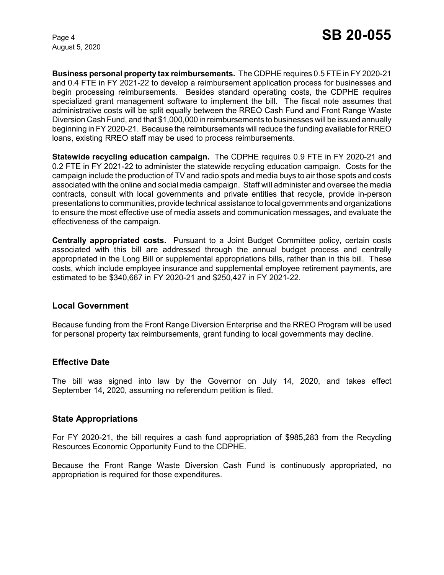August 5, 2020

**Business personal property tax reimbursements.** The CDPHE requires 0.5 FTE in FY 2020-21 and 0.4 FTE in FY 2021-22 to develop a reimbursement application process for businesses and begin processing reimbursements. Besides standard operating costs, the CDPHE requires specialized grant management software to implement the bill. The fiscal note assumes that administrative costs will be split equally between the RREO Cash Fund and Front Range Waste Diversion Cash Fund, and that \$1,000,000 in reimbursements to businesses will be issued annually beginning in FY 2020-21. Because the reimbursements will reduce the funding available for RREO loans, existing RREO staff may be used to process reimbursements.

**Statewide recycling education campaign.** The CDPHE requires 0.9 FTE in FY 2020-21 and 0.2 FTE in FY 2021-22 to administer the statewide recycling education campaign. Costs for the campaign include the production of TV and radio spots and media buys to air those spots and costs associated with the online and social media campaign. Staff will administer and oversee the media contracts, consult with local governments and private entities that recycle, provide in-person presentations to communities, provide technical assistance to local governments and organizations to ensure the most effective use of media assets and communication messages, and evaluate the effectiveness of the campaign.

**Centrally appropriated costs.** Pursuant to a Joint Budget Committee policy, certain costs associated with this bill are addressed through the annual budget process and centrally appropriated in the Long Bill or supplemental appropriations bills, rather than in this bill. These costs, which include employee insurance and supplemental employee retirement payments, are estimated to be \$340,667 in FY 2020-21 and \$250,427 in FY 2021-22.

### **Local Government**

Because funding from the Front Range Diversion Enterprise and the RREO Program will be used for personal property tax reimbursements, grant funding to local governments may decline.

### **Effective Date**

The bill was signed into law by the Governor on July 14, 2020, and takes effect September 14, 2020, assuming no referendum petition is filed.

### **State Appropriations**

For FY 2020-21, the bill requires a cash fund appropriation of \$985,283 from the Recycling Resources Economic Opportunity Fund to the CDPHE.

Because the Front Range Waste Diversion Cash Fund is continuously appropriated, no appropriation is required for those expenditures.